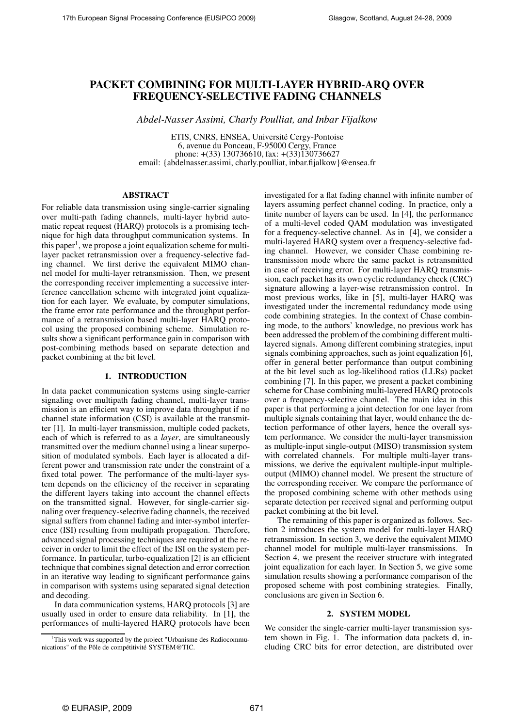# **PACKET COMBINING FOR MULTI-LAYER HYBRID-ARQ OVER FREQUENCY-SELECTIVE FADING CHANNELS**

*Abdel-Nasser Assimi, Charly Poulliat, and Inbar Fijalkow*

ETIS, CNRS, ENSEA, Université Cergy-Pontoise 6, avenue du Ponceau, F-95000 Cergy, France phone: +(33) 130736610, fax: +(33)130736627 email: {abdelnasser.assimi, charly.poulliat, inbar.fijalkow}@ensea.fr

## **ABSTRACT**

For reliable data transmission using single-carrier signaling over multi-path fading channels, multi-layer hybrid automatic repeat request (HARQ) protocols is a promising technique for high data throughput communication systems. In this paper<sup>1</sup>, we propose a joint equalization scheme for multilayer packet retransmission over a frequency-selective fading channel. We first derive the equivalent MIMO channel model for multi-layer retransmission. Then, we present the corresponding receiver implementing a successive interference cancellation scheme with integrated joint equalization for each layer. We evaluate, by computer simulations, the frame error rate performance and the throughput performance of a retransmission based multi-layer HARQ protocol using the proposed combining scheme. Simulation results show a significant performance gain in comparison with post-combining methods based on separate detection and packet combining at the bit level.

# **1. INTRODUCTION**

In data packet communication systems using single-carrier signaling over multipath fading channel, multi-layer transmission is an efficient way to improve data throughput if no channel state information (CSI) is available at the transmitter [1]. In multi-layer transmission, multiple coded packets, each of which is referred to as a *layer*, are simultaneously transmitted over the medium channel using a linear superposition of modulated symbols. Each layer is allocated a different power and transmission rate under the constraint of a fixed total power. The performance of the multi-layer system depends on the efficiency of the receiver in separating the different layers taking into account the channel effects on the transmitted signal. However, for single-carrier signaling over frequency-selective fading channels, the received signal suffers from channel fading and inter-symbol interference (ISI) resulting from multipath propagation. Therefore, advanced signal processing techniques are required at the receiver in order to limit the effect of the ISI on the system performance. In particular, turbo-equalization [2] is an efficient technique that combines signal detection and error correction in an iterative way leading to significant performance gains in comparison with systems using separated signal detection and decoding.

In data communication systems, HARQ protocols [3] are usually used in order to ensure data reliability. In [1], the performances of multi-layered HARQ protocols have been investigated for a flat fading channel with infinite number of layers assuming perfect channel coding. In practice, only a finite number of layers can be used. In [4], the performance of a multi-level coded QAM modulation was investigated for a frequency-selective channel. As in [4], we consider a multi-layered HARQ system over a frequency-selective fading channel. However, we consider Chase combining retransmission mode where the same packet is retransmitted in case of receiving error. For multi-layer HARQ transmission, each packet has its own cyclic redundancy check (CRC) signature allowing a layer-wise retransmission control. In most previous works, like in [5], multi-layer HARQ was investigated under the incremental redundancy mode using code combining strategies. In the context of Chase combining mode, to the authors' knowledge, no previous work has been addressed the problem of the combining different multilayered signals. Among different combining strategies, input signals combining approaches, such as joint equalization [6], offer in general better performance than output combining at the bit level such as log-likelihood ratios (LLRs) packet combining [7]. In this paper, we present a packet combining scheme for Chase combining multi-layered HARQ protocols over a frequency-selective channel. The main idea in this paper is that performing a joint detection for one layer from multiple signals containing that layer, would enhance the detection performance of other layers, hence the overall system performance. We consider the multi-layer transmission as multiple-input single-output (MISO) transmission system with correlated channels. For multiple multi-layer transmissions, we derive the equivalent multiple-input multipleoutput (MIMO) channel model. We present the structure of the corresponding receiver. We compare the performance of the proposed combining scheme with other methods using separate detection per received signal and performing output packet combining at the bit level.

The remaining of this paper is organized as follows. Section 2 introduces the system model for multi-layer HARQ retransmission. In section 3, we derive the equivalent MIMO channel model for multiple multi-layer transmissions. In Section 4, we present the receiver structure with integrated joint equalization for each layer. In Section 5, we give some simulation results showing a performance comparison of the proposed scheme with post combining strategies. Finally, conclusions are given in Section 6.

## **2. SYSTEM MODEL**

We consider the single-carrier multi-layer transmission system shown in Fig. 1. The information data packets d, including CRC bits for error detection, are distributed over

<sup>&</sup>lt;sup>1</sup>This work was supported by the project "Urbanisme des Radiocommunications" of the Pôle de compétitivité SYSTEM@TIC.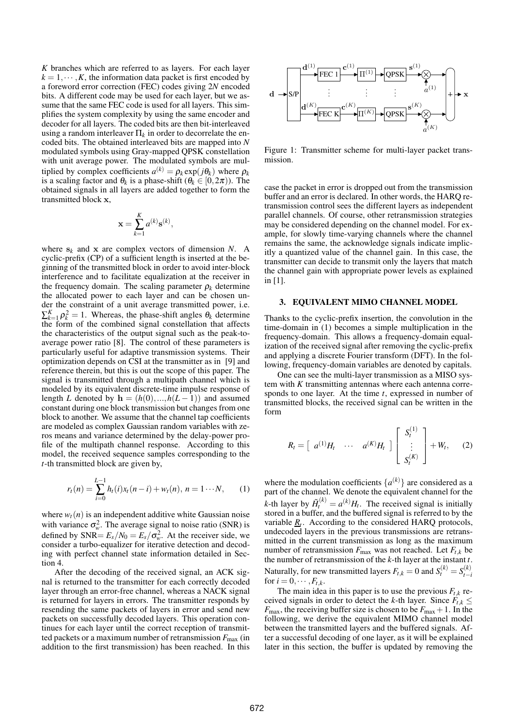*K* branches which are referred to as layers. For each layer  $k = 1, \dots, K$ , the information data packet is first encoded by a foreword error correction (FEC) codes giving 2*N* encoded bits. A different code may be used for each layer, but we assume that the same FEC code is used for all layers. This simplifies the system complexity by using the same encoder and decoder for all layers. The coded bits are then bit-interleaved using a random interleaver  $\Pi_k$  in order to decorrelate the encoded bits. The obtained interleaved bits are mapped into *N* modulated symbols using Gray-mapped QPSK constellation with unit average power. The modulated symbols are multiplied by complex coefficients  $a^{(k)} = \rho_k \exp(j\theta_k)$  where  $\rho_k$ is a scaling factor and  $\theta_k$  is a phase-shift ( $\theta_k \in [0, 2\pi)$ ). The obtained signals in all layers are added together to form the transmitted block x,

$$
\mathbf{x} = \sum_{k=1}^{K} a^{(k)} \mathbf{s}^{(k)},
$$

where  $s_k$  and  $x$  are complex vectors of dimension *N*. A cyclic-prefix (CP) of a sufficient length is inserted at the beginning of the transmitted block in order to avoid inter-block interference and to facilitate equalization at the receiver in the frequency domain. The scaling parameter  $\rho_k$  determine the allocated power to each layer and can be chosen under the constraint of a unit average transmitted power, i.e.  $\sum_{k=1}^{K} \rho_k^2 = 1$ . Whereas, the phase-shift angles  $\theta_k$  determine the form of the combined signal constellation that affects the characteristics of the output signal such as the peak-toaverage power ratio [8]. The control of these parameters is particularly useful for adaptive transmission systems. Their optimization depends on CSI at the transmitter as in [9] and reference therein, but this is out the scope of this paper. The signal is transmitted through a multipath channel which is modeled by its equivalent discrete-time impulse response of length *L* denoted by  $h = (h(0),...,h(L-1))$  and assumed constant during one block transmission but changes from one block to another. We assume that the channel tap coefficients are modeled as complex Gaussian random variables with zeros means and variance determined by the delay-power profile of the multipath channel response. According to this model, the received sequence samples corresponding to the *t*-th transmitted block are given by,

$$
r_t(n) = \sum_{i=0}^{L-1} h_t(i)x_t(n-i) + w_t(n), n = 1 \cdots N,
$$
 (1)

where  $w_t(n)$  is an independent additive white Gaussian noise with variance  $\sigma_w^2$ . The average signal to noise ratio (SNR) is defined by  $\text{SNR} = E_s/N_0 = E_s/\sigma_w^2$ . At the receiver side, we consider a turbo-equalizer for iterative detection and decoding with perfect channel state information detailed in Section 4.

After the decoding of the received signal, an ACK signal is returned to the transmitter for each correctly decoded layer through an error-free channel, whereas a NACK signal is returned for layers in errors. The transmitter responds by resending the same packets of layers in error and send new packets on successfully decoded layers. This operation continues for each layer until the correct reception of transmitted packets or a maximum number of retransmission *F*max (in addition to the first transmission) has been reached. In this



Figure 1: Transmitter scheme for multi-layer packet transmission.

case the packet in error is dropped out from the transmission buffer and an error is declared. In other words, the HARQ retransmission control sees the different layers as independent parallel channels. Of course, other retransmission strategies may be considered depending on the channel model. For example, for slowly time-varying channels where the channel remains the same, the acknowledge signals indicate implicitly a quantized value of the channel gain. In this case, the transmitter can decide to transmit only the layers that match the channel gain with appropriate power levels as explained in [1].

#### **3. EQUIVALENT MIMO CHANNEL MODEL**

Thanks to the cyclic-prefix insertion, the convolution in the time-domain in (1) becomes a simple multiplication in the frequency-domain. This allows a frequency-domain equalization of the received signal after removing the cyclic-prefix and applying a discrete Fourier transform (DFT). In the following, frequency-domain variables are denoted by capitals.

One can see the multi-layer transmission as a MISO system with *K* transmitting antennas where each antenna corresponds to one layer. At the time *t*, expressed in number of transmitted blocks, the received signal can be written in the form

$$
R_t = \begin{bmatrix} a^{(1)}H_t & \cdots & a^{(K)}H_t \end{bmatrix} \begin{bmatrix} S_t^{(1)} \\ \vdots \\ S_t^{(K)} \end{bmatrix} + W_t, \quad (2)
$$

where the modulation coefficients  $\{a^{(k)}\}$  are considered as a part of the channel. We denote the equivalent channel for the *k*-th layer by  $\tilde{H}_t^{(k)} = a^{(k)} H_t$ . The received signal is initially stored in a buffer, and the buffered signal is referred to by the variable *R<sup>t</sup>* . According to the considered HARQ protocols, undecoded layers in the previous transmissions are retransmitted in the current transmission as long as the maximum number of retransmission  $F_{\text{max}}$  was not reached. Let  $F_{t,k}$  be the number of retransmission of the *k*-th layer at the instant *t*. Naturally, for new transmitted layers  $F_{t,k} = 0$  and  $S_t^{(k)} = S_{t-i}^{(k)}$ *t*−*i* for  $i = 0, \dots, F_{t,k}$ .

The main idea in this paper is to use the previous  $F_{t,k}$  received signals in order to detect the *k*-th layer. Since  $F_t$   $\lt$  $F_{\text{max}}$ , the receiving buffer size is chosen to be  $F_{\text{max}}+1$ . In the following, we derive the equivalent MIMO channel model between the transmitted layers and the buffered signals. After a successful decoding of one layer, as it will be explained later in this section, the buffer is updated by removing the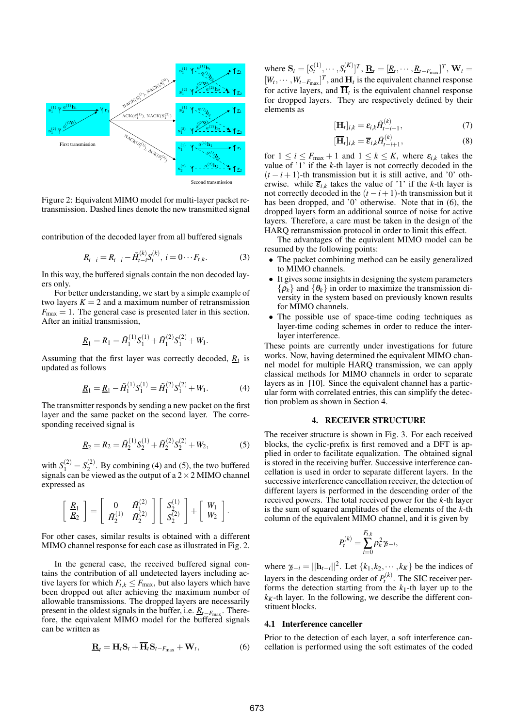

Figure 2: Equivalent MIMO model for multi-layer packet retransmission. Dashed lines denote the new transmitted signal

contribution of the decoded layer from all buffered signals

$$
\underline{R}_{t-i} = \underline{R}_{t-i} - \tilde{H}_{t-i}^{(k)} S_t^{(k)}, \ i = 0 \cdots F_{t,k}.
$$
 (3)

In this way, the buffered signals contain the non decoded layers only.

For better understanding, we start by a simple example of two layers  $K = 2$  and a maximum number of retransmission  $F_{\text{max}} = 1$ . The general case is presented later in this section. After an initial transmission,

$$
\underline{R}_1 = R_1 = \tilde{H}_1^{(1)} S_1^{(1)} + \tilde{H}_1^{(2)} S_1^{(2)} + W_1.
$$

Assuming that the first layer was correctly decoded,  $\underline{R}_1$  is updated as follows

$$
\underline{R}_1 = \underline{R}_1 - \tilde{H}_1^{(1)} S_1^{(1)} = \tilde{H}_1^{(2)} S_1^{(2)} + W_1.
$$
 (4)

The transmitter responds by sending a new packet on the first layer and the same packet on the second layer. The corresponding received signal is

$$
\underline{R}_2 = R_2 = \tilde{H}_2^{(1)} S_2^{(1)} + \tilde{H}_2^{(2)} S_2^{(2)} + W_2, \tag{5}
$$

with  $S_1^{(2)} = S_2^{(2)}$  $2<sup>(2)</sup>$ . By combining (4) and (5), the two buffered signals can be viewed as the output of a  $2 \times 2$  MIMO channel expressed as

$$
\left[\begin{array}{c}\underline{R}_1\\\underline{R}_2\end{array}\right]=\left[\begin{array}{cc}0&\tilde{H}_1^{(2)}\\ \tilde{H}_2^{(1)}&\tilde{H}_2^{(2)}\end{array}\right]\left[\begin{array}{c}S_2^{(1)}\\S_2^{(2)}\end{array}\right]+\left[\begin{array}{c}W_1\\W_2\end{array}\right].
$$

For other cases, similar results is obtained with a different MIMO channel response for each case as illustrated in Fig. 2.

In the general case, the received buffered signal contains the contribution of all undetected layers including active layers for which  $F_{t,k} \leq F_{\text{max}}$ , but also layers which have been dropped out after achieving the maximum number of allowable transmissions. The dropped layers are necessarily present in the oldest signals in the buffer, i.e.  $R_{t-F_{\text{max}}}$ . Therefore, the equivalent MIMO model for the buffered signals can be written as

$$
\underline{\mathbf{R}}_{t} = \mathbf{H}_{t} \mathbf{S}_{t} + \overline{\mathbf{H}}_{t} \mathbf{S}_{t - F_{\text{max}}} + \mathbf{W}_{t},
$$
\n(6)

where  $S_t = [S_t^{(1)}, \cdots, S_t^{(K)}]^T$ ,  $\mathbf{R}_t = [R_t, \cdots, R_{t-F_{\text{max}}}]^T$ ,  $\mathbf{W}_t =$  $[W_t, \cdots, W_{t-F_{\text{max}}}]^T$ , and  $\mathbf{H}_t$  is the equivalent channel response for active layers, and  $\overline{H}_t$  is the equivalent channel response for dropped layers. They are respectively defined by their elements as

$$
[\mathbf{H}_t]_{i,k} = \varepsilon_{i,k} \tilde{H}_{t-i+1}^{(k)},\tag{7}
$$

$$
[\overline{\mathbf{H}}_t]_{i,k} = \overline{\varepsilon}_{i,k} \tilde{H}_{t-i+1}^{(k)},\tag{8}
$$

for  $1 \leq i \leq F_{\text{max}} + 1$  and  $1 \leq k \leq K$ , where  $\varepsilon_{i,k}$  takes the value of '1' if the *k*-th layer is not correctly decoded in the  $(t - i + 1)$ -th transmission but it is still active, and '0' otherwise. while  $\overline{\epsilon}_{i,k}$  takes the value of '1' if the *k*-th layer is not correctly decoded in the  $(t - i + 1)$ -th transmission but it has been dropped, and '0' otherwise. Note that in (6), the dropped layers form an additional source of noise for active layers. Therefore, a care must be taken in the design of the HARQ retransmission protocol in order to limit this effect.

The advantages of the equivalent MIMO model can be resumed by the following points:

- The packet combining method can be easily generalized to MIMO channels.
- It gives some insights in designing the system parameters  $\{\rho_k\}$  and  $\{\theta_k\}$  in order to maximize the transmission diversity in the system based on previously known results for MIMO channels.
- The possible use of space-time coding techniques as layer-time coding schemes in order to reduce the interlayer interference.

These points are currently under investigations for future works. Now, having determined the equivalent MIMO channel model for multiple HARQ transmission, we can apply classical methods for MIMO channels in order to separate layers as in [10]. Since the equivalent channel has a particular form with correlated entries, this can simplify the detection problem as shown in Section 4.

#### **4. RECEIVER STRUCTURE**

The receiver structure is shown in Fig. 3. For each received blocks, the cyclic-prefix is first removed and a DFT is applied in order to facilitate equalization. The obtained signal is stored in the receiving buffer. Successive interference cancellation is used in order to separate different layers. In the successive interference cancellation receiver, the detection of different layers is performed in the descending order of the received powers. The total received power for the *k*-th layer is the sum of squared amplitudes of the elements of the *k*-th column of the equivalent MIMO channel, and it is given by

$$
P_t^{(k)} = \sum_{i=0}^{F_{t,k}} \rho_k^2 \gamma_{t-i},
$$

where  $\gamma_{t-i} = ||\mathbf{h}_{t-i}||^2$ . Let  $\{k_1, k_2, \dots, k_K\}$  be the indices of layers in the descending order of  $P_t^{(k)}$ . The SIC receiver performs the detection starting from the  $k_1$ -th layer up to the  $k_K$ -th layer. In the following, we describe the different constituent blocks.

#### **4.1 Interference canceller**

Prior to the detection of each layer, a soft interference cancellation is performed using the soft estimates of the coded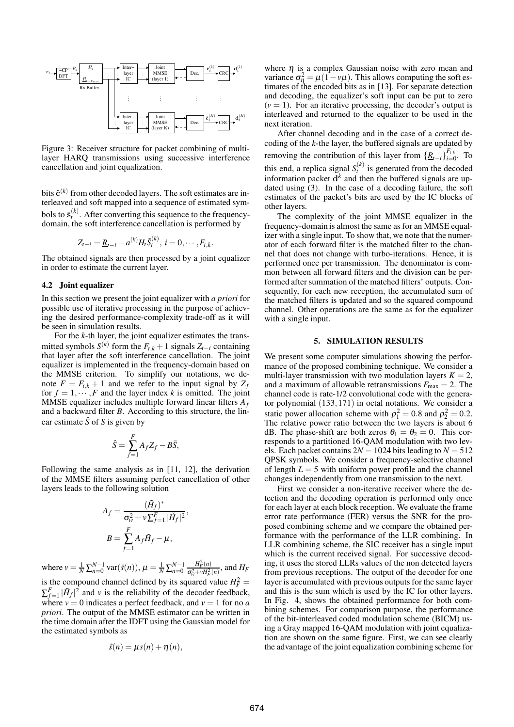

Figure 3: Receiver structure for packet combining of multilayer HARQ transmissions using successive interference cancellation and joint equalization.

bits  $\hat{\mathbf{c}}^{(k)}$  from other decoded layers. The soft estimates are interleaved and soft mapped into a sequence of estimated symbols to  $\bar{\mathbf{s}}_t^{(k)}$ . After converting this sequence to the frequencydomain, the soft interference cancellation is performed by

$$
Z_{t-i} = \underline{R}_{t-i} - a^{(k)} H_t \bar{S}_t^{(k)}, i = 0, \cdots, F_{t,k}.
$$

The obtained signals are then processed by a joint equalizer in order to estimate the current layer.

#### **4.2 Joint equalizer**

In this section we present the joint equalizer with *a priori* for possible use of iterative processing in the purpose of achieving the desired performance-complexity trade-off as it will be seen in simulation results.

For the *k*-th layer, the joint equalizer estimates the transmitted symbols  $S^{(k)}$  form the  $F_{t,k}$  + 1 signals  $Z_{t-i}$  containing that layer after the soft interference cancellation. The joint equalizer is implemented in the frequency-domain based on the MMSE criterion. To simplify our notations, we denote  $F = F_{t,k} + 1$  and we refer to the input signal by  $Z_f$ for  $f = 1, \dots, F$  and the layer index *k* is omitted. The joint MMSE equalizer includes multiple forward linear filters *A<sup>f</sup>* and a backward filter *B*. According to this structure, the linear estimate  $\hat{S}$  of *S* is given by

$$
\hat{S} = \sum_{f=1}^{F} A_f Z_f - B \bar{S},
$$

Following the same analysis as in [11, 12], the derivation of the MMSE filters assuming perfect cancellation of other layers leads to the following solution

$$
A_f = \frac{(\tilde{H}_f)^*}{\sigma_w^2 + v \sum_{f=1}^F |\tilde{H}_f|^2},
$$

$$
B = \sum_{f=1}^F A_f \tilde{H}_f - \mu,
$$

where  $v = \frac{1}{N} \sum_{n=0}^{N-1} \text{var}(\bar{s}(n))$ ,  $\mu = \frac{1}{N} \sum_{n=0}^{N-1}$  $H_F^2(n)$  $\frac{H_F(n)}{\sigma_w^2 + vH_F^2(n)}$ , and  $H_F$ is the compound channel defined by its squared value  $H_F^2$  =  $\sum_{f=1}^{F} |\tilde{H}_f|^2$  and *v* is the reliability of the decoder feedback, where  $v = 0$  indicates a perfect feedback, and  $v = 1$  for no *a priori*. The output of the MMSE estimator can be written in the time domain after the IDFT using the Gaussian model for the estimated symbols as

$$
\hat{s}(n) = \mu s(n) + \eta(n),
$$

where  $\eta$  is a complex Gaussian noise with zero mean and variance  $\sigma_{\eta}^2 = \mu(1 - v\mu)$ . This allows computing the soft estimates of the encoded bits as in [13]. For separate detection and decoding, the equalizer's soft input can be put to zero  $(v = 1)$ . For an iterative processing, the decoder's output is interleaved and returned to the equalizer to be used in the next iteration.

After channel decoding and in the case of a correct decoding of the *k*-the layer, the buffered signals are updated by removing the contribution of this layer from  $\{R_{t-i}\}_{i=0}^{F_{t,k}}$  $\prod_{i=0}^{t}$ . To this end, a replica signal  $S_t^{(k)}$  is generated from the decoded information packet  $\mathbf{d}^k$  and then the buffered signals are updated using (3). In the case of a decoding failure, the soft estimates of the packet's bits are used by the IC blocks of other layers.

The complexity of the joint MMSE equalizer in the frequency-domain is almost the same as for an MMSE equalizer with a single input. To show that, we note that the numerator of each forward filter is the matched filter to the channel that does not change with turbo-iterations. Hence, it is performed once per transmission. The denominator is common between all forward filters and the division can be performed after summation of the matched filters' outputs. Consequently, for each new reception, the accumulated sum of the matched filters is updated and so the squared compound channel. Other operations are the same as for the equalizer with a single input.

#### **5. SIMULATION RESULTS**

We present some computer simulations showing the performance of the proposed combining technique. We consider a multi-layer transmission with two modulation layers  $K = 2$ , and a maximum of allowable retransmissions  $F_{\text{max}} = 2$ . The channel code is rate-1/2 convolutional code with the generator polynomial (133,171) in octal notations. We consider a static power allocation scheme with  $\rho_1^2 = 0.8$  and  $\rho_2^2 = 0.2$ . The relative power ratio between the two layers is about 6 dB. The phase-shift are both zeros  $\theta_1 = \theta_2 = 0$ . This corresponds to a partitioned 16-QAM modulation with two levels. Each packet contains  $2N = 1024$  bits leading to  $N = 512$ QPSK symbols. We consider a frequency-selective channel of length  $L = 5$  with uniform power profile and the channel changes independently from one transmission to the next.

First we consider a non-iterative receiver where the detection and the decoding operation is performed only once for each layer at each block reception. We evaluate the frame error rate performance (FER) versus the SNR for the proposed combining scheme and we compare the obtained performance with the performance of the LLR combining. In LLR combining scheme, the SIC receiver has a single input which is the current received signal. For successive decoding, it uses the stored LLRs values of the non detected layers from previous receptions. The output of the decoder for one layer is accumulated with previous outputs for the same layer and this is the sum which is used by the IC for other layers. In Fig. 4, shows the obtained performance for both combining schemes. For comparison purpose, the performance of the bit-interleaved coded modulation scheme (BICM) using a Gray mapped 16-QAM modulation with joint equalization are shown on the same figure. First, we can see clearly the advantage of the joint equalization combining scheme for